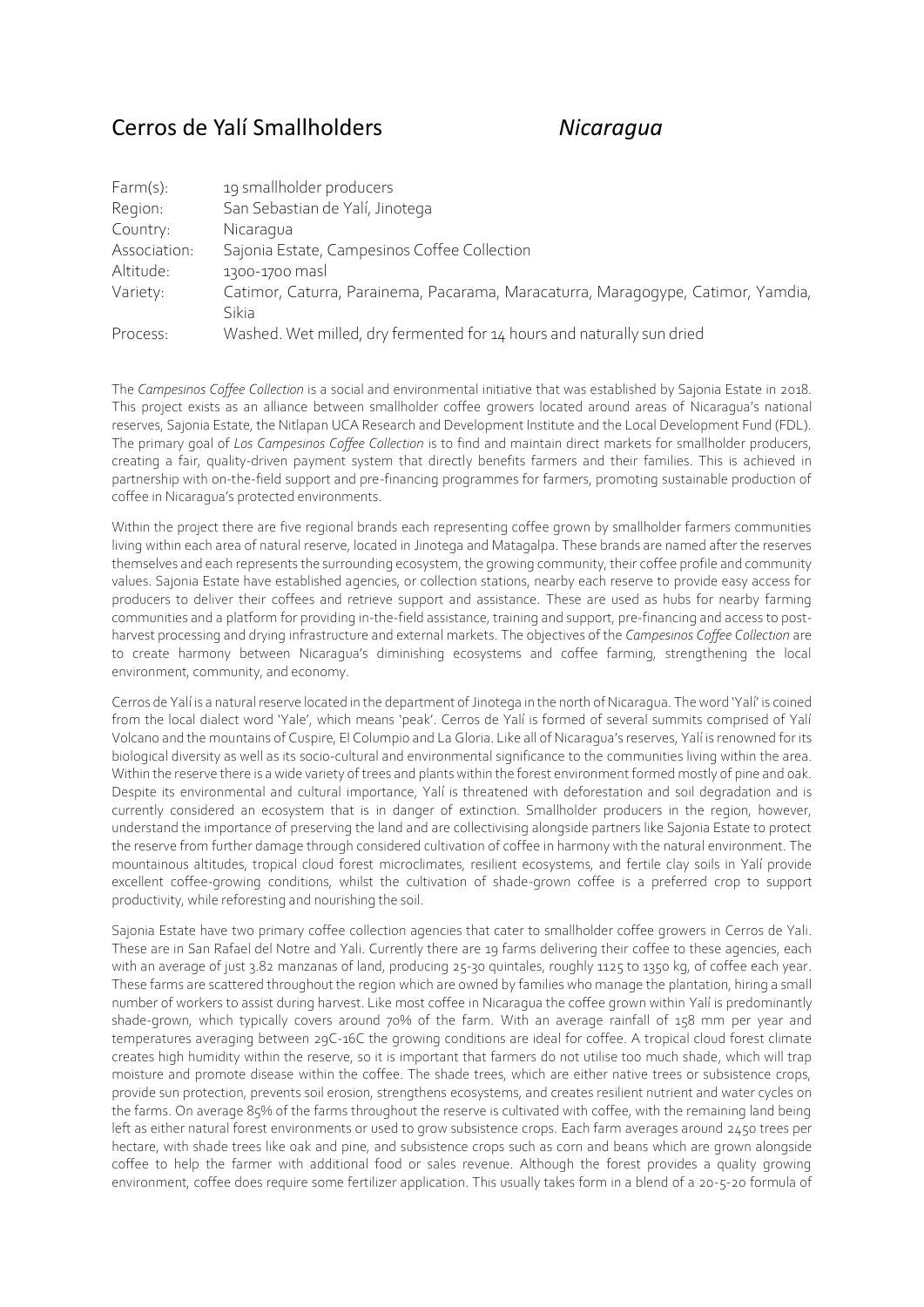## Cerros de Yalí Smallholders *Nicaragua*

| Farm(s):     | 19 smallholder producers                                                         |
|--------------|----------------------------------------------------------------------------------|
| Region:      | San Sebastian de Yalí, Jinotega                                                  |
| Country:     | Nicaragua                                                                        |
| Association: | Sajonia Estate, Campesinos Coffee Collection                                     |
| Altitude:    | 1300-1700 masl                                                                   |
| Variety:     | Catimor, Caturra, Parainema, Pacarama, Maracaturra, Maragogype, Catimor, Yamdia, |
|              | Sikia                                                                            |
| Process:     | Washed. Wet milled, dry fermented for 14 hours and naturally sun dried           |

The *Campesinos Coffee Collection* is a social and environmental initiative that was established by Sajonia Estate in 2018. This project exists as an alliance between smallholder coffee growers located around areas of Nicaragua's national reserves, Sajonia Estate, the Nitlapan UCA Research and Development Institute and the Local Development Fund (FDL). The primary goal of *Los Campesinos Coffee Collection* is to find and maintain direct markets for smallholder producers, creating a fair, quality-driven payment system that directly benefits farmers and their families. This is achieved in partnership with on-the-field support and pre-financing programmes for farmers, promoting sustainable production of coffee in Nicaragua's protected environments.

Within the project there are five regional brands each representing coffee grown by smallholder farmers communities living within each area of natural reserve, located in Jinotega and Matagalpa. These brands are named after the reserves themselves and each represents the surrounding ecosystem, the growing community, their coffee profile and community values. Sajonia Estate have established agencies, or collection stations, nearby each reserve to provide easy access for producers to deliver their coffees and retrieve support and assistance. These are used as hubs for nearby farming communities and a platform for providing in-the-field assistance, training and support, pre-financing and access to postharvest processing and drying infrastructure and external markets. The objectives of the *Campesinos Coffee Collection* are to create harmony between Nicaragua's diminishing ecosystems and coffee farming, strengthening the local environment, community, and economy.

Cerros de Yalí is a natural reserve located in the department of Jinotega in the north of Nicaragua. The word 'Yalí' is coined from the local dialect word 'Yale', which means 'peak'. Cerros de Yalí is formed of several summits comprised of Yalí Volcano and the mountains of Cuspire, El Columpio and La Gloria. Like all of Nicaragua's reserves, Yalí is renowned for its biological diversity as well as its socio-cultural and environmental significance to the communities living within the area. Within the reserve there is a wide variety of trees and plants within the forest environment formed mostly of pine and oak. Despite its environmental and cultural importance, Yalí is threatened with deforestation and soil degradation and is currently considered an ecosystem that is in danger of extinction. Smallholder producers in the region, however, understand the importance of preserving the land and are collectivising alongside partners like Sajonia Estate to protect the reserve from further damage through considered cultivation of coffee in harmony with the natural environment. The mountainous altitudes, tropical cloud forest microclimates, resilient ecosystems, and fertile clay soils in Yalí provide excellent coffee-growing conditions, whilst the cultivation of shade-grown coffee is a preferred crop to support productivity, while reforesting and nourishing the soil.

Sajonia Estate have two primary coffee collection agencies that cater to smallholder coffee growers in Cerros de Yali. These are in San Rafael del Notre and Yali. Currently there are 19 farms delivering their coffee to these agencies, each with an average of just 3.82 manzanas of land, producing 25-30 quintales, roughly 1125 to 1350 kg, of coffee each year. These farms are scattered throughout the region which are owned by families who manage the plantation, hiring a small number of workers to assist during harvest. Like most coffee in Nicaragua the coffee grown within Yalí is predominantly shade-grown, which typically covers around 70% of the farm. With an average rainfall of 158 mm per year and temperatures averaging between 29C-16C the growing conditions are ideal for coffee. A tropical cloud forest climate creates high humidity within the reserve, so it is important that farmers do not utilise too much shade, which will trap moisture and promote disease within the coffee. The shade trees, which are either native trees or subsistence crops, provide sun protection, prevents soil erosion, strengthens ecosystems, and creates resilient nutrient and water cycles on the farms. On average 85% of the farms throughout the reserve is cultivated with coffee, with the remaining land being left as either natural forest environments or used to grow subsistence crops. Each farm averages around 2450 trees per hectare, with shade trees like oak and pine, and subsistence crops such as corn and beans which are grown alongside coffee to help the farmer with additional food or sales revenue. Although the forest provides a quality growing environment, coffee does require some fertilizer application. This usually takes form in a blend of a 20-5-20 formula of